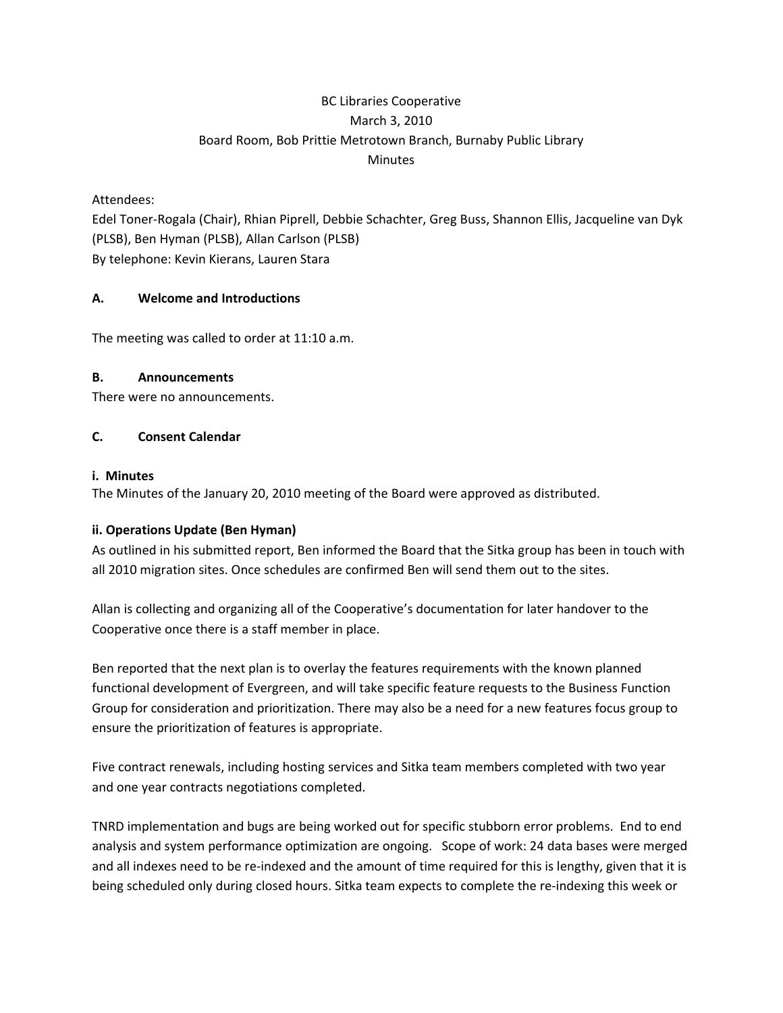# BC Libraries Cooperative March 3, 2010 Board Room, Bob Prittie Metrotown Branch, Burnaby Public Library **Minutes**

### Attendees:

Edel Toner‐Rogala (Chair), Rhian Piprell, Debbie Schachter, Greg Buss, Shannon Ellis, Jacqueline van Dyk (PLSB), Ben Hyman (PLSB), Allan Carlson (PLSB) By telephone: Kevin Kierans, Lauren Stara

#### **A. Welcome and Introductions**

The meeting was called to order at 11:10 a.m.

### **B. Announcements**

There were no announcements.

### **C. Consent Calendar**

#### **i. Minutes**

The Minutes of the January 20, 2010 meeting of the Board were approved as distributed.

# **ii. Operations Update (Ben Hyman)**

As outlined in his submitted report, Ben informed the Board that the Sitka group has been in touch with all 2010 migration sites. Once schedules are confirmed Ben will send them out to the sites.

Allan is collecting and organizing all of the Cooperative's documentation for later handover to the Cooperative once there is a staff member in place.

Ben reported that the next plan is to overlay the features requirements with the known planned functional development of Evergreen, and will take specific feature requests to the Business Function Group for consideration and prioritization. There may also be a need for a new features focus group to ensure the prioritization of features is appropriate.

Five contract renewals, including hosting services and Sitka team members completed with two year and one year contracts negotiations completed.

TNRD implementation and bugs are being worked out for specific stubborn error problems. End to end analysis and system performance optimization are ongoing. Scope of work: 24 data bases were merged and all indexes need to be re-indexed and the amount of time required for this is lengthy, given that it is being scheduled only during closed hours. Sitka team expects to complete the re-indexing this week or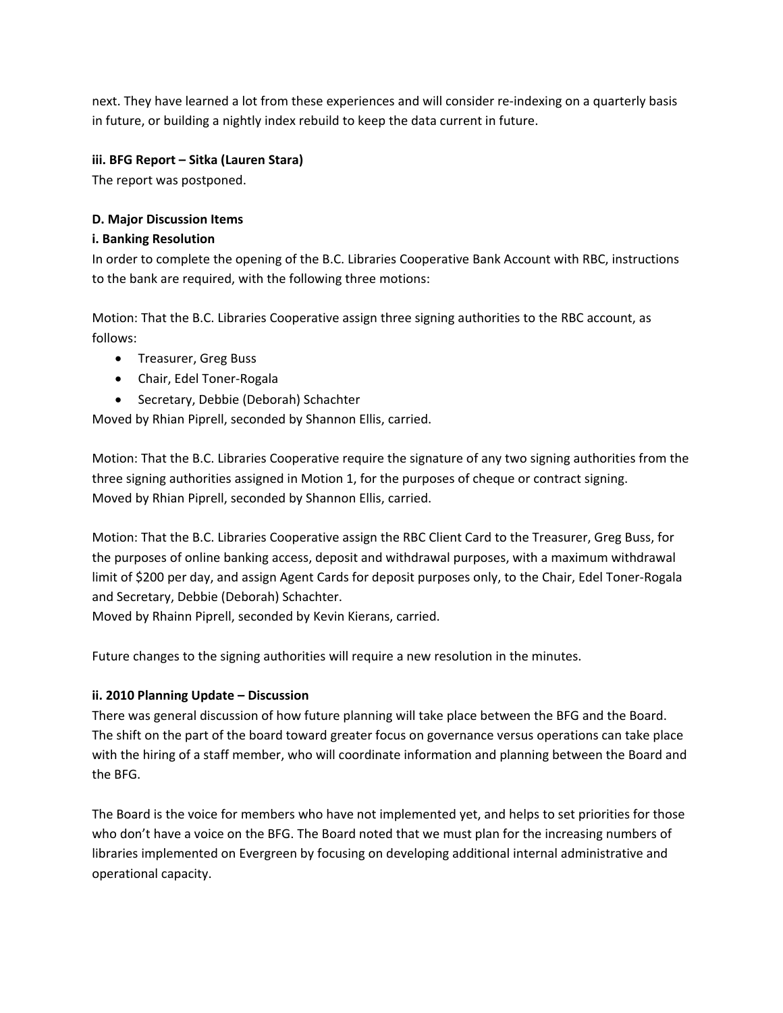next. They have learned a lot from these experiences and will consider re‐indexing on a quarterly basis in future, or building a nightly index rebuild to keep the data current in future.

### **iii. BFG Report – Sitka (Lauren Stara)**

The report was postponed.

### **D. Major Discussion Items**

### **i. Banking Resolution**

In order to complete the opening of the B.C. Libraries Cooperative Bank Account with RBC, instructions to the bank are required, with the following three motions:

Motion: That the B.C. Libraries Cooperative assign three signing authorities to the RBC account, as follows:

- Treasurer, Greg Buss
- Chair, Edel Toner‐Rogala
- Secretary, Debbie (Deborah) Schachter

Moved by Rhian Piprell, seconded by Shannon Ellis, carried.

Motion: That the B.C. Libraries Cooperative require the signature of any two signing authorities from the three signing authorities assigned in Motion 1, for the purposes of cheque or contract signing. Moved by Rhian Piprell, seconded by Shannon Ellis, carried.

Motion: That the B.C. Libraries Cooperative assign the RBC Client Card to the Treasurer, Greg Buss, for the purposes of online banking access, deposit and withdrawal purposes, with a maximum withdrawal limit of \$200 per day, and assign Agent Cards for deposit purposes only, to the Chair, Edel Toner‐Rogala and Secretary, Debbie (Deborah) Schachter.

Moved by Rhainn Piprell, seconded by Kevin Kierans, carried.

Future changes to the signing authorities will require a new resolution in the minutes.

#### **ii. 2010 Planning Update – Discussion**

There was general discussion of how future planning will take place between the BFG and the Board. The shift on the part of the board toward greater focus on governance versus operations can take place with the hiring of a staff member, who will coordinate information and planning between the Board and the BFG.

The Board is the voice for members who have not implemented yet, and helps to set priorities for those who don't have a voice on the BFG. The Board noted that we must plan for the increasing numbers of libraries implemented on Evergreen by focusing on developing additional internal administrative and operational capacity.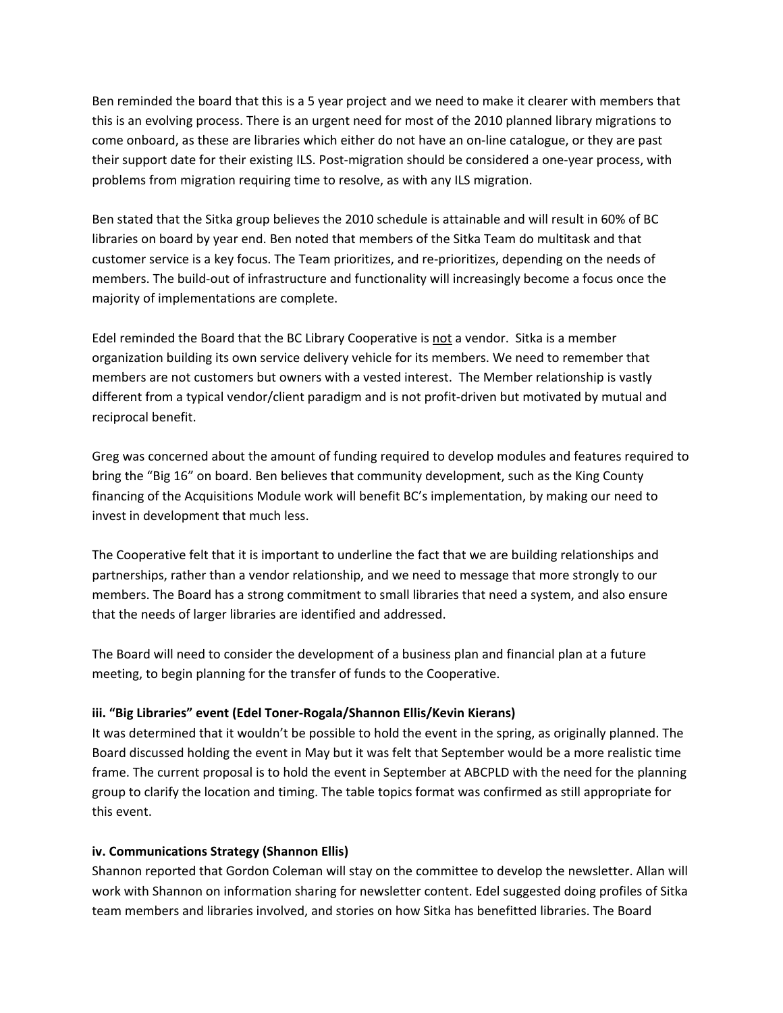Ben reminded the board that this is a 5 year project and we need to make it clearer with members that this is an evolving process. There is an urgent need for most of the 2010 planned library migrations to come onboard, as these are libraries which either do not have an on-line catalogue, or they are past their support date for their existing ILS. Post-migration should be considered a one-year process, with problems from migration requiring time to resolve, as with any ILS migration.

Ben stated that the Sitka group believes the 2010 schedule is attainable and will result in 60% of BC libraries on board by year end. Ben noted that members of the Sitka Team do multitask and that customer service is a key focus. The Team prioritizes, and re‐prioritizes, depending on the needs of members. The build‐out of infrastructure and functionality will increasingly become a focus once the majority of implementations are complete.

Edel reminded the Board that the BC Library Cooperative is not a vendor. Sitka is a member organization building its own service delivery vehicle for its members. We need to remember that members are not customers but owners with a vested interest. The Member relationship is vastly different from a typical vendor/client paradigm and is not profit‐driven but motivated by mutual and reciprocal benefit.

Greg was concerned about the amount of funding required to develop modules and features required to bring the "Big 16" on board. Ben believes that community development, such as the King County financing of the Acquisitions Module work will benefit BC's implementation, by making our need to invest in development that much less.

The Cooperative felt that it is important to underline the fact that we are building relationships and partnerships, rather than a vendor relationship, and we need to message that more strongly to our members. The Board has a strong commitment to small libraries that need a system, and also ensure that the needs of larger libraries are identified and addressed.

The Board will need to consider the development of a business plan and financial plan at a future meeting, to begin planning for the transfer of funds to the Cooperative.

# **iii. "Big Libraries" event (Edel Toner‐Rogala/Shannon Ellis/Kevin Kierans)**

It was determined that it wouldn't be possible to hold the event in the spring, as originally planned. The Board discussed holding the event in May but it was felt that September would be a more realistic time frame. The current proposal is to hold the event in September at ABCPLD with the need for the planning group to clarify the location and timing. The table topics format was confirmed as still appropriate for this event.

# **iv. Communications Strategy (Shannon Ellis)**

Shannon reported that Gordon Coleman will stay on the committee to develop the newsletter. Allan will work with Shannon on information sharing for newsletter content. Edel suggested doing profiles of Sitka team members and libraries involved, and stories on how Sitka has benefitted libraries. The Board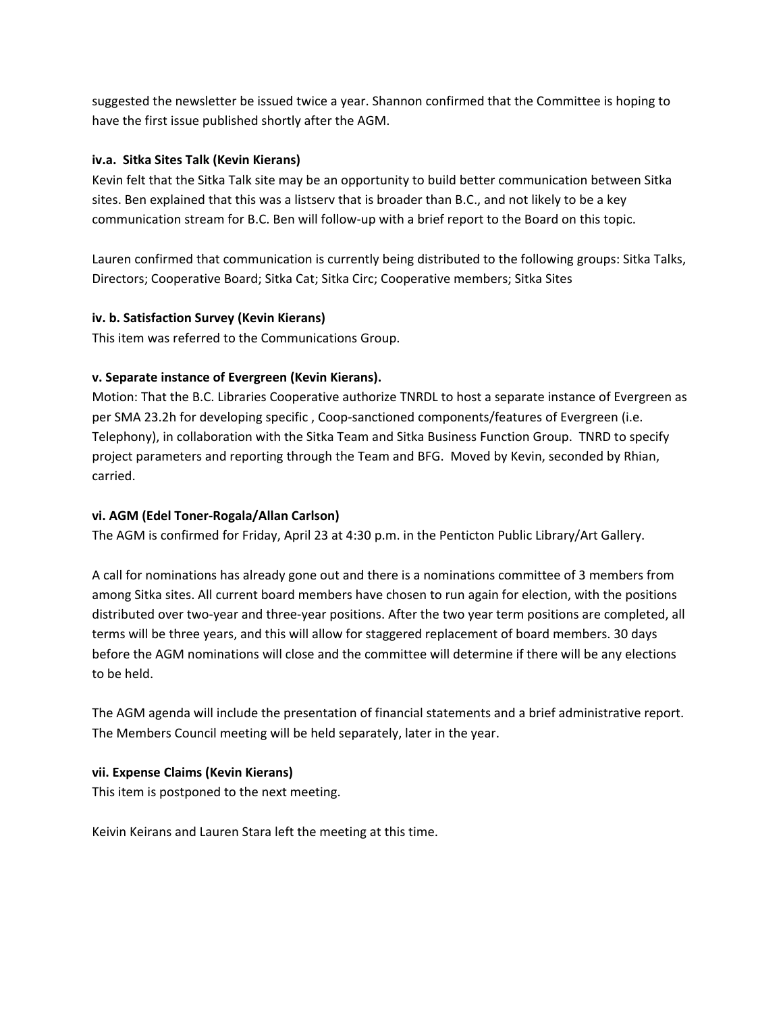suggested the newsletter be issued twice a year. Shannon confirmed that the Committee is hoping to have the first issue published shortly after the AGM.

# **iv.a. Sitka Sites Talk (Kevin Kierans)**

Kevin felt that the Sitka Talk site may be an opportunity to build better communication between Sitka sites. Ben explained that this was a listserv that is broader than B.C., and not likely to be a key communication stream for B.C. Ben will follow‐up with a brief report to the Board on this topic.

Lauren confirmed that communication is currently being distributed to the following groups: Sitka Talks, Directors; Cooperative Board; Sitka Cat; Sitka Circ; Cooperative members; Sitka Sites

### **iv. b. Satisfaction Survey (Kevin Kierans)**

This item was referred to the Communications Group.

# **v. Separate instance of Evergreen (Kevin Kierans).**

Motion: That the B.C. Libraries Cooperative authorize TNRDL to host a separate instance of Evergreen as per SMA 23.2h for developing specific , Coop‐sanctioned components/features of Evergreen (i.e. Telephony), in collaboration with the Sitka Team and Sitka Business Function Group. TNRD to specify project parameters and reporting through the Team and BFG. Moved by Kevin, seconded by Rhian, carried.

# **vi. AGM (Edel Toner‐Rogala/Allan Carlson)**

The AGM is confirmed for Friday, April 23 at 4:30 p.m. in the Penticton Public Library/Art Gallery.

A call for nominations has already gone out and there is a nominations committee of 3 members from among Sitka sites. All current board members have chosen to run again for election, with the positions distributed over two‐year and three‐year positions. After the two year term positions are completed, all terms will be three years, and this will allow for staggered replacement of board members. 30 days before the AGM nominations will close and the committee will determine if there will be any elections to be held.

The AGM agenda will include the presentation of financial statements and a brief administrative report. The Members Council meeting will be held separately, later in the year.

#### **vii. Expense Claims (Kevin Kierans)**

This item is postponed to the next meeting.

Keivin Keirans and Lauren Stara left the meeting at this time.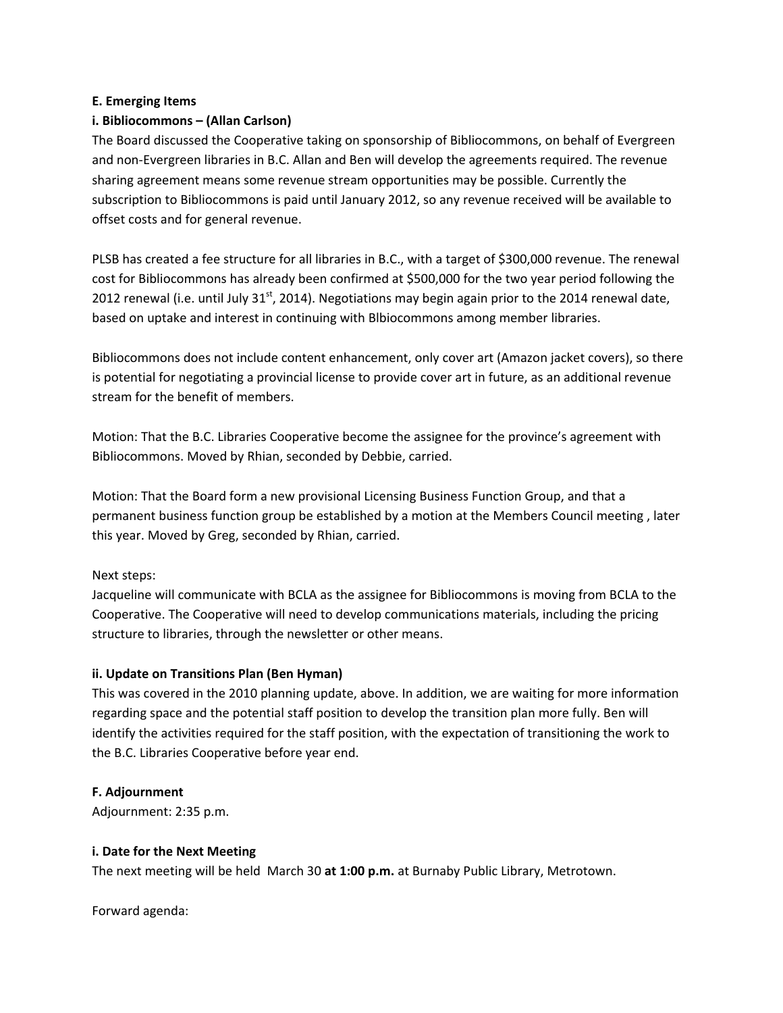#### **E. Emerging Items**

### **i. Bibliocommons – (Allan Carlson)**

The Board discussed the Cooperative taking on sponsorship of Bibliocommons, on behalf of Evergreen and non‐Evergreen libraries in B.C. Allan and Ben will develop the agreements required. The revenue sharing agreement means some revenue stream opportunities may be possible. Currently the subscription to Bibliocommons is paid until January 2012, so any revenue received will be available to offset costs and for general revenue.

PLSB has created a fee structure for all libraries in B.C., with a target of \$300,000 revenue. The renewal cost for Bibliocommons has already been confirmed at \$500,000 for the two year period following the 2012 renewal (i.e. until July 31 $^{\rm st}$ , 2014). Negotiations may begin again prior to the 2014 renewal date, based on uptake and interest in continuing with Blbiocommons among member libraries.

Bibliocommons does not include content enhancement, only cover art (Amazon jacket covers), so there is potential for negotiating a provincial license to provide cover art in future, as an additional revenue stream for the benefit of members.

Motion: That the B.C. Libraries Cooperative become the assignee for the province's agreement with Bibliocommons. Moved by Rhian, seconded by Debbie, carried.

Motion: That the Board form a new provisional Licensing Business Function Group, and that a permanent business function group be established by a motion at the Members Council meeting , later this year. Moved by Greg, seconded by Rhian, carried.

#### Next steps:

Jacqueline will communicate with BCLA as the assignee for Bibliocommons is moving from BCLA to the Cooperative. The Cooperative will need to develop communications materials, including the pricing structure to libraries, through the newsletter or other means.

#### **ii. Update on Transitions Plan (Ben Hyman)**

This was covered in the 2010 planning update, above. In addition, we are waiting for more information regarding space and the potential staff position to develop the transition plan more fully. Ben will identify the activities required for the staff position, with the expectation of transitioning the work to the B.C. Libraries Cooperative before year end.

#### **F. Adjournment**

Adjournment: 2:35 p.m.

#### **i. Date for the Next Meeting**

The next meeting will be held March 30 **at 1:00 p.m.** at Burnaby Public Library, Metrotown.

Forward agenda: